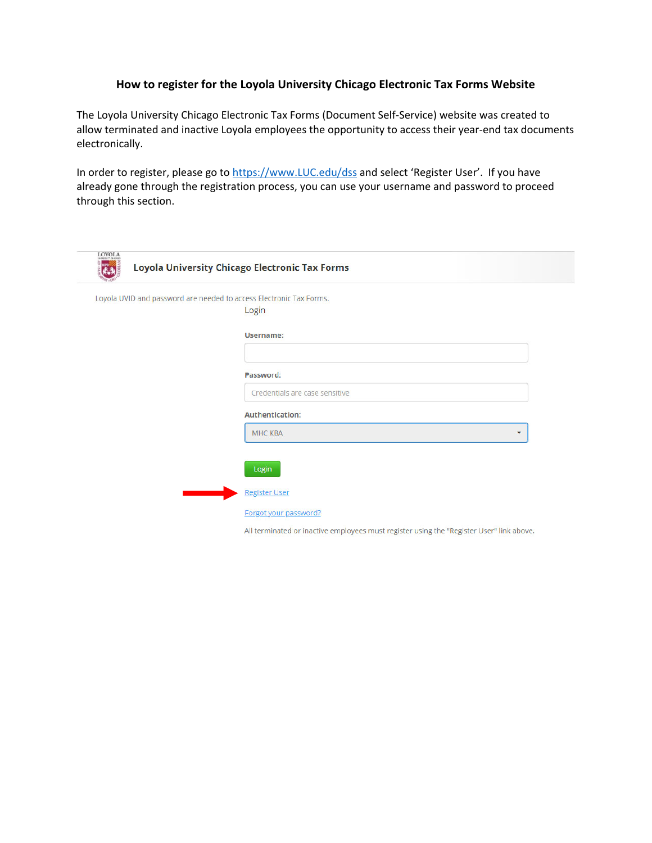### **How to register for the Loyola University Chicago Electronic Tax Forms Website**

The Loyola University Chicago Electronic Tax Forms (Document Self‐Service) website was created to allow terminated and inactive Loyola employees the opportunity to access their year-end tax documents electronically.

In order to register, please go to https://www.LUC.edu/dss and select 'Register User'. If you have already gone through the registration process, you can use your username and password to proceed through this section.

| LOYOLA                                                              | <b>Loyola University Chicago Electronic Tax Forms</b> |
|---------------------------------------------------------------------|-------------------------------------------------------|
| Loyola UVID and password are needed to access Electronic Tax Forms. |                                                       |
|                                                                     | Login                                                 |
|                                                                     | Username:                                             |
|                                                                     |                                                       |
|                                                                     | Password:                                             |
|                                                                     | Credentials are case sensitive                        |
|                                                                     | <b>Authentication:</b>                                |
|                                                                     | MHC KBA<br>▼                                          |
|                                                                     | Login                                                 |
|                                                                     | <b>Register User</b>                                  |
|                                                                     | Forgot your password?                                 |

All terminated or inactive employees must register using the "Register User" link above.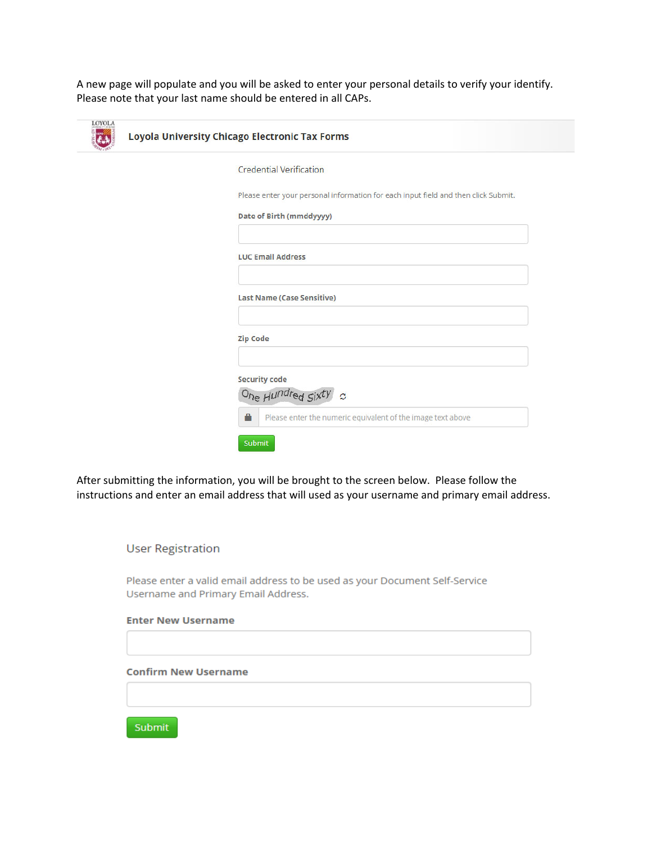A new page will populate and you will be asked to enter your personal details to verify your identify. Please note that your last name should be entered in all CAPs.

| <b>Credential Verification</b>                                                     |
|------------------------------------------------------------------------------------|
| Please enter your personal information for each input field and then click Submit. |
| Date of Birth (mmddyyyy)                                                           |
| <b>LUC Email Address</b>                                                           |
| Last Name (Case Sensitive)                                                         |
| <b>Zip Code</b>                                                                    |
| <b>Security code</b>                                                               |
| One Hundred Sixty c                                                                |
| Α<br>Please enter the numeric equivalent of the image text above                   |

After submitting the information, you will be brought to the screen below. Please follow the instructions and enter an email address that will used as your username and primary email address.

### **User Registration**

Please enter a valid email address to be used as your Document Self-Service Username and Primary Email Address.

#### **Enter New Username**

#### **Confirm New Username**

Submit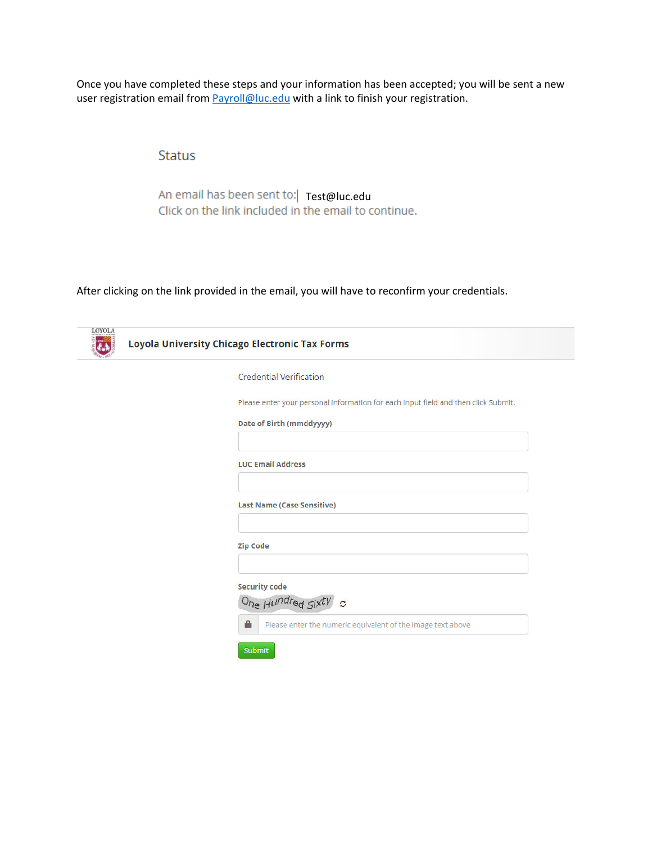Once you have completed these steps and your information has been accepted; you will be sent a new user registration email from **Payroll@luc.edu** with a link to finish your registration.

# **Status**

An email has been sent to: Test@luc.edu<br>Click on the link included in the email to continue.

After clicking on the link provided in the email, you will have to reconfirm your credentials.

| <b>Credential Verification</b>                                                     |
|------------------------------------------------------------------------------------|
| Please enter your personal information for each input field and then click Submit. |
| Date of Birth (mmddyyyy)                                                           |
|                                                                                    |
| <b>LUC Email Address</b>                                                           |
|                                                                                    |
| Last Name (Case Sensitive)                                                         |
|                                                                                    |
| <b>Zip Code</b>                                                                    |
|                                                                                    |
| <b>Security code</b>                                                               |
| One Hundred Sixty c                                                                |
| Α<br>Please enter the numeric equivalent of the image text above                   |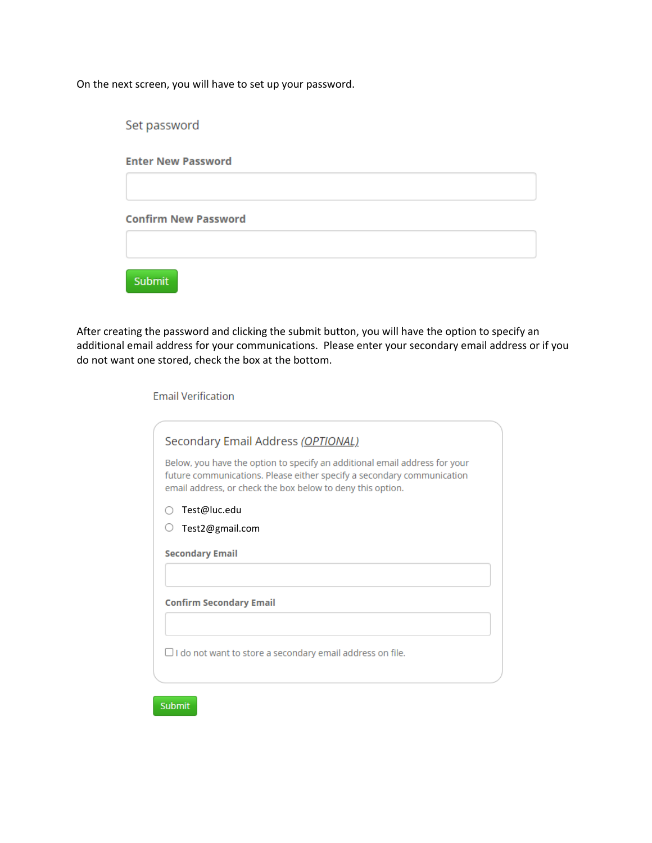On the next screen, you will have to set up your password.

| Set password                |  |  |
|-----------------------------|--|--|
| <b>Enter New Password</b>   |  |  |
| <b>Confirm New Password</b> |  |  |
| <b>Submit</b>               |  |  |

After creating the password and clicking the submit button, you will have the option to specify an additional email address for your communications. Please enter your secondary email address or if you do not want one stored, check the box at the bottom.

**Email Verification** 

| Secondary Email Address (OPTIONAL)                                                                                                                                                                                 |
|--------------------------------------------------------------------------------------------------------------------------------------------------------------------------------------------------------------------|
| Below, you have the option to specify an additional email address for your<br>future communications. Please either specify a secondary communication<br>email address, or check the box below to deny this option. |
| Test@luc.edu                                                                                                                                                                                                       |
| Test2@gmail.com                                                                                                                                                                                                    |
| <b>Secondary Email</b>                                                                                                                                                                                             |
|                                                                                                                                                                                                                    |
| <b>Confirm Secondary Email</b>                                                                                                                                                                                     |
|                                                                                                                                                                                                                    |
| $\Box$ I do not want to store a secondary email address on file.                                                                                                                                                   |
|                                                                                                                                                                                                                    |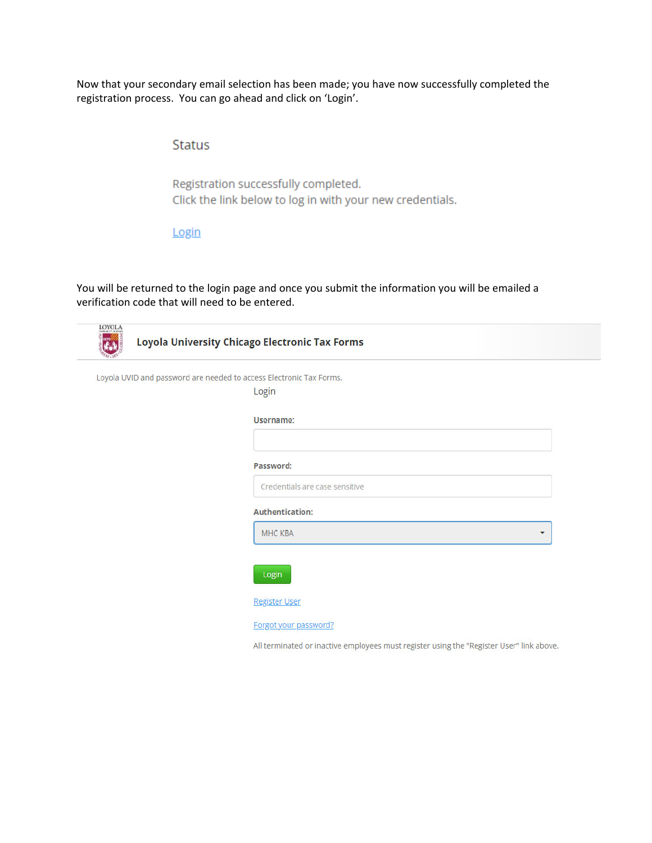Now that your secondary email selection has been made; you have now successfully completed the registration process. You can go ahead and click on 'Login'.

## **Status**

Registration successfully completed. Click the link below to log in with your new credentials.

Login

You will be returned to the login page and once you submit the information you will be emailed a verification code that will need to be entered.

| LOYOLA                                                              | Loyola University Chicago Electronic Tax Forms           |
|---------------------------------------------------------------------|----------------------------------------------------------|
| Loyola UVID and password are needed to access Electronic Tax Forms. | Login                                                    |
|                                                                     | Username:                                                |
|                                                                     | Password:                                                |
|                                                                     | Credentials are case sensitive<br><b>Authentication:</b> |
|                                                                     | MHC KBA<br>$\overline{\mathbf{v}}$                       |
|                                                                     | Login                                                    |
|                                                                     | <b>Register User</b>                                     |
|                                                                     | Forgot your password?                                    |

All terminated or inactive employees must register using the "Register User" link above.